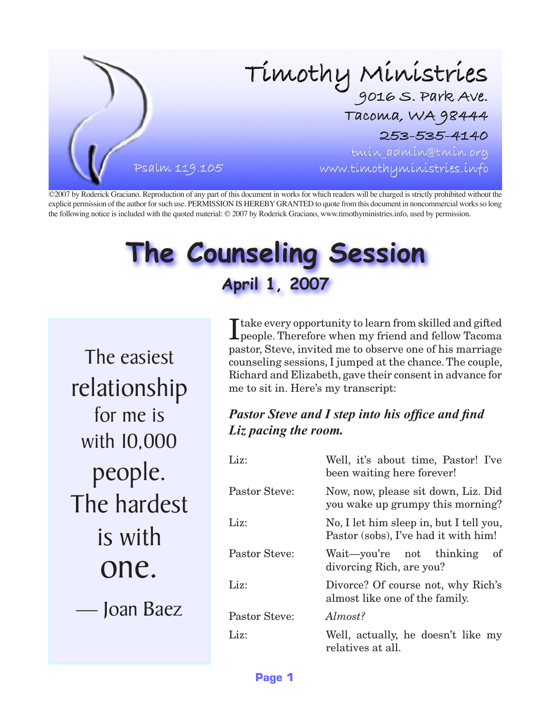

©2007 by Roderick Graciano. Reproduction of any part of this document in works for which readers will be charged is strictly prohibited without the explicit permission of the author for such use. PERMISSION IS HEREBY GRANTED to quote from this document in noncommercial works so long the following notice is included with the quoted material: © 2007 by Roderick Graciano, www.timothyministries.info, used by permission.

# **The Counseling Session April 1, 2007**

The easiest relationship for me is with 10,000 people. The hardest is with one.

— Joan Baez

 $\prod\limits_\text{people. Therefore when my friend and fellow Tacoma\nonumber$ pastor, Steve, invited me to observe one of his marriage counseling sessions, I jumped at the chance. The couple, Richard and Elizabeth, gave their consent in advance for me to sit in. Here's my transcript:

#### *Pastor Steve and I step into his office and find Liz pacing the room.*

| Liz:                 | Well, it's about time, Pastor! I've<br>been waiting here forever!               |
|----------------------|---------------------------------------------------------------------------------|
| <b>Pastor Steve:</b> | Now, now, please sit down, Liz. Did<br>you wake up grumpy this morning?         |
| Liz:                 | No, I let him sleep in, but I tell you,<br>Pastor (sobs), I've had it with him! |
| Pastor Steve:        | Wait-you're not thinking<br><sub>of</sub><br>divorcing Rich, are you?           |
| Liz:                 | Divorce? Of course not, why Rich's<br>almost like one of the family.            |
| <b>Pastor Steve:</b> | Almost?                                                                         |
| Liz:                 | Well, actually, he doesn't like my<br>relatives at all.                         |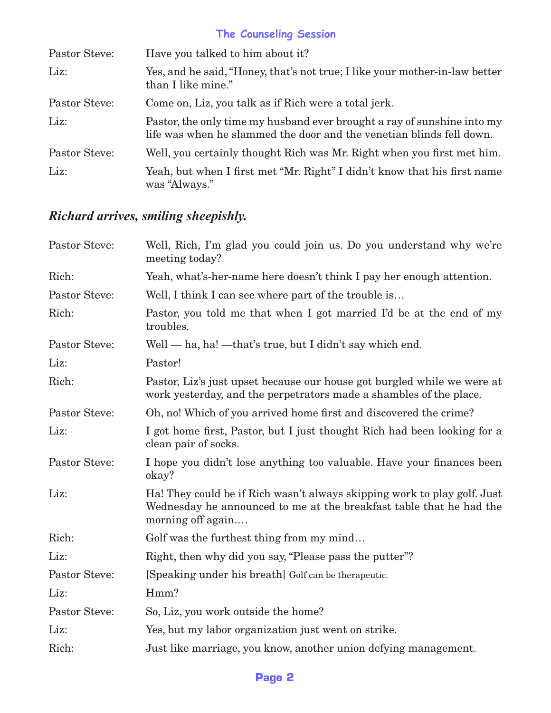# **The Counseling Session**

| Pastor Steve: | Have you talked to him about it?                                                                                                                |
|---------------|-------------------------------------------------------------------------------------------------------------------------------------------------|
| Liz:          | Yes, and he said, "Honey, that's not true; I like your mother-in-law better<br>than I like mine."                                               |
| Pastor Steve: | Come on, Liz, you talk as if Rich were a total jerk.                                                                                            |
| Liz:          | Pastor, the only time my husband ever brought a ray of sunshine into my<br>life was when he slammed the door and the venetian blinds fell down. |
| Pastor Steve: | Well, you certainly thought Rich was Mr. Right when you first met him.                                                                          |
| Liz:          | Yeah, but when I first met "Mr. Right" I didn't know that his first name<br>was "Always."                                                       |

# *Richard arrives, smiling sheepishly.*

| Well, Rich, I'm glad you could join us. Do you understand why we're<br>meeting today?                                                                                |
|----------------------------------------------------------------------------------------------------------------------------------------------------------------------|
| Yeah, what's-her-name here doesn't think I pay her enough attention.                                                                                                 |
| Well, I think I can see where part of the trouble is                                                                                                                 |
| Pastor, you told me that when I got married I'd be at the end of my<br>troubles.                                                                                     |
| Well — ha, ha! — that's true, but I didn't say which end.                                                                                                            |
| Pastor!                                                                                                                                                              |
| Pastor, Liz's just upset because our house got burgled while we were at<br>work yesterday, and the perpetrators made a shambles of the place.                        |
| Oh, no! Which of you arrived home first and discovered the crime?                                                                                                    |
| I got home first, Pastor, but I just thought Rich had been looking for a<br>clean pair of socks.                                                                     |
| I hope you didn't lose anything too valuable. Have your finances been<br>okay?                                                                                       |
| Ha! They could be if Rich wasn't always skipping work to play golf. Just<br>Wednesday he announced to me at the breakfast table that he had the<br>morning off again |
| Golf was the furthest thing from my mind                                                                                                                             |
| Right, then why did you say, "Please pass the putter"?                                                                                                               |
| [Speaking under his breath] Golf can be therapeutic.                                                                                                                 |
| Hmm?                                                                                                                                                                 |
| So, Liz, you work outside the home?                                                                                                                                  |
| Yes, but my labor organization just went on strike.                                                                                                                  |
| Just like marriage, you know, another union defying management.                                                                                                      |
|                                                                                                                                                                      |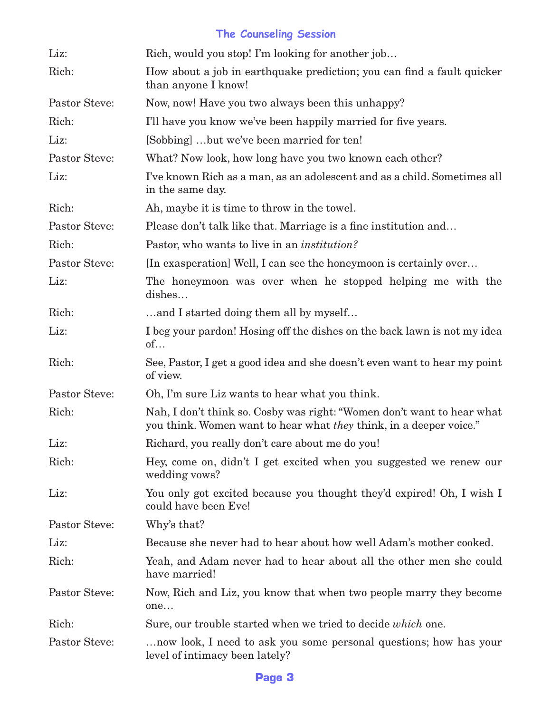## **The Counseling Session**

| Liz:                 | Rich, would you stop! I'm looking for another job                                                                                            |
|----------------------|----------------------------------------------------------------------------------------------------------------------------------------------|
| Rich:                | How about a job in earthquake prediction; you can find a fault quicker<br>than anyone I know!                                                |
| Pastor Steve:        | Now, now! Have you two always been this unhappy?                                                                                             |
| Rich:                | I'll have you know we've been happily married for five years.                                                                                |
| Liz:                 | [Sobbing] but we've been married for ten!                                                                                                    |
| <b>Pastor Steve:</b> | What? Now look, how long have you two known each other?                                                                                      |
| Liz:                 | I've known Rich as a man, as an adolescent and as a child. Sometimes all<br>in the same day.                                                 |
| Rich:                | Ah, maybe it is time to throw in the towel.                                                                                                  |
| Pastor Steve:        | Please don't talk like that. Marriage is a fine institution and                                                                              |
| Rich:                | Pastor, who wants to live in an <i>institution</i> ?                                                                                         |
| <b>Pastor Steve:</b> | [In exasperation] Well, I can see the honeymoon is certainly over                                                                            |
| Liz:                 | The honeymoon was over when he stopped helping me with the<br>dishes                                                                         |
| Rich:                | and I started doing them all by myself                                                                                                       |
| Liz:                 | I beg your pardon! Hosing off the dishes on the back lawn is not my idea<br>of                                                               |
| Rich:                | See, Pastor, I get a good idea and she doesn't even want to hear my point<br>of view.                                                        |
| <b>Pastor Steve:</b> | Oh, I'm sure Liz wants to hear what you think.                                                                                               |
| Rich:                | Nah, I don't think so. Cosby was right: "Women don't want to hear what<br>you think. Women want to hear what they think, in a deeper voice." |
| Liz:                 | Richard, you really don't care about me do you!                                                                                              |
| Rich:                | Hey, come on, didn't I get excited when you suggested we renew our<br>wedding vows?                                                          |
| Liz:                 | You only got excited because you thought they'd expired! Oh, I wish I<br>could have been Eve!                                                |
| Pastor Steve:        | Why's that?                                                                                                                                  |
| Liz:                 | Because she never had to hear about how well Adam's mother cooked.                                                                           |
| Rich:                | Yeah, and Adam never had to hear about all the other men she could<br>have married!                                                          |
| Pastor Steve:        | Now, Rich and Liz, you know that when two people marry they become<br>one                                                                    |
| Rich:                | Sure, our trouble started when we tried to decide <i>which</i> one.                                                                          |
| Pastor Steve:        | now look, I need to ask you some personal questions; how has your<br>level of intimacy been lately?                                          |